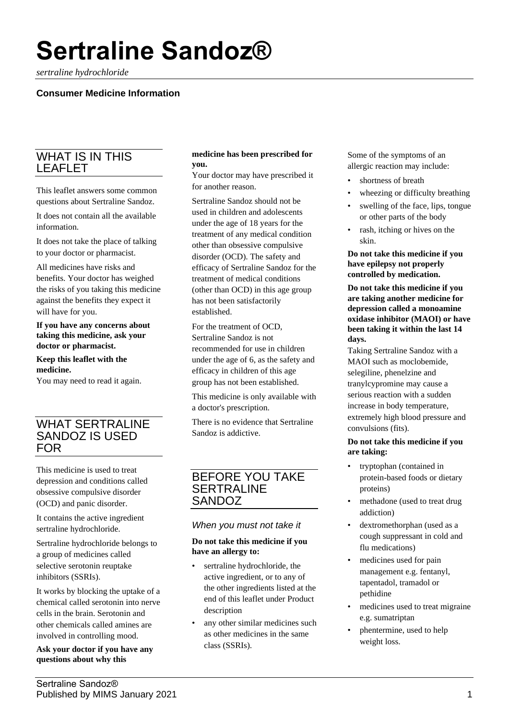# **Sertraline Sandoz®**

*sertraline hydrochloride*

# **Consumer Medicine Information**

# WHAT IS IN THIS LEAFLET

This leaflet answers some common questions about Sertraline Sandoz.

It does not contain all the available information.

It does not take the place of talking to your doctor or pharmacist.

All medicines have risks and benefits. Your doctor has weighed the risks of you taking this medicine against the benefits they expect it will have for you.

**If you have any concerns about taking this medicine, ask your doctor or pharmacist.**

## **Keep this leaflet with the medicine.**

You may need to read it again.

# WHAT SERTRALINE SANDOZ IS USED **FOR**

This medicine is used to treat depression and conditions called obsessive compulsive disorder (OCD) and panic disorder.

It contains the active ingredient sertraline hydrochloride.

Sertraline hydrochloride belongs to a group of medicines called selective serotonin reuptake inhibitors (SSRIs).

It works by blocking the uptake of a chemical called serotonin into nerve cells in the brain. Serotonin and other chemicals called amines are involved in controlling mood.

**Ask your doctor if you have any questions about why this** 

## **medicine has been prescribed for you.**

Your doctor may have prescribed it for another reason.

Sertraline Sandoz should not be used in children and adolescents under the age of 18 years for the treatment of any medical condition other than obsessive compulsive disorder (OCD). The safety and efficacy of Sertraline Sandoz for the treatment of medical conditions (other than OCD) in this age group has not been satisfactorily established.

For the treatment of OCD, Sertraline Sandoz is not recommended for use in children under the age of 6, as the safety and efficacy in children of this age group has not been established.

This medicine is only available with a doctor's prescription.

There is no evidence that Sertraline Sandoz is addictive.

# BEFORE YOU TAKE SERTRALINE SANDOZ

## *When you must not take it*

#### **Do not take this medicine if you have an allergy to:**

- sertraline hydrochloride, the active ingredient, or to any of the other ingredients listed at the end of this leaflet under Product description
- any other similar medicines such as other medicines in the same class (SSRIs).

Some of the symptoms of an allergic reaction may include:

- shortness of breath
- wheezing or difficulty breathing
- swelling of the face, lips, tongue or other parts of the body
- rash, itching or hives on the skin.

**Do not take this medicine if you have epilepsy not properly controlled by medication.**

**Do not take this medicine if you are taking another medicine for depression called a monoamine oxidase inhibitor (MAOI) or have been taking it within the last 14 days.**

Taking Sertraline Sandoz with a MAOI such as moclobemide, selegiline, phenelzine and tranylcypromine may cause a serious reaction with a sudden increase in body temperature, extremely high blood pressure and convulsions (fits).

## **Do not take this medicine if you are taking:**

- tryptophan (contained in protein-based foods or dietary proteins)
- methadone (used to treat drug addiction)
- dextromethorphan (used as a cough suppressant in cold and flu medications)
- medicines used for pain management e.g. fentanyl, tapentadol, tramadol or pethidine
- medicines used to treat migraine e.g. sumatriptan
- phentermine, used to help weight loss.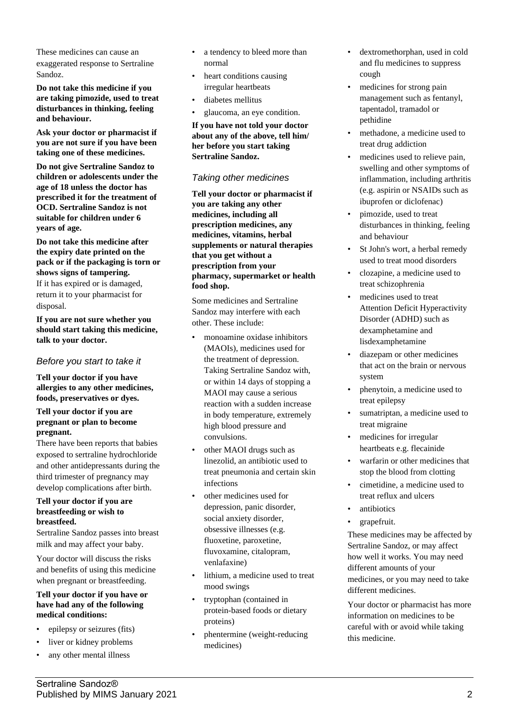These medicines can cause an exaggerated response to Sertraline Sandoz.

**Do not take this medicine if you are taking pimozide, used to treat disturbances in thinking, feeling and behaviour.**

**Ask your doctor or pharmacist if you are not sure if you have been taking one of these medicines.**

**Do not give Sertraline Sandoz to children or adolescents under the age of 18 unless the doctor has prescribed it for the treatment of OCD. Sertraline Sandoz is not suitable for children under 6 years of age.**

### **Do not take this medicine after the expiry date printed on the pack or if the packaging is torn or shows signs of tampering.**

If it has expired or is damaged, return it to your pharmacist for disposal.

**If you are not sure whether you should start taking this medicine, talk to your doctor.**

## *Before you start to take it*

**Tell your doctor if you have allergies to any other medicines, foods, preservatives or dyes.**

### **Tell your doctor if you are pregnant or plan to become pregnant.**

There have been reports that babies exposed to sertraline hydrochloride and other antidepressants during the third trimester of pregnancy may develop complications after birth.

## **Tell your doctor if you are breastfeeding or wish to breastfeed.**

Sertraline Sandoz passes into breast milk and may affect your baby.

Your doctor will discuss the risks and benefits of using this medicine when pregnant or breastfeeding.

#### **Tell your doctor if you have or have had any of the following medical conditions:**

- epilepsy or seizures (fits)
- liver or kidney problems
- any other mental illness
- a tendency to bleed more than normal
- heart conditions causing irregular heartbeats
- diabetes mellitus
- glaucoma, an eye condition.

**If you have not told your doctor about any of the above, tell him/ her before you start taking Sertraline Sandoz.**

## *Taking other medicines*

**Tell your doctor or pharmacist if you are taking any other medicines, including all prescription medicines, any medicines, vitamins, herbal supplements or natural therapies that you get without a prescription from your pharmacy, supermarket or health food shop.**

Some medicines and Sertraline Sandoz may interfere with each other. These include:

- monoamine oxidase inhibitors (MAOIs), medicines used for the treatment of depression. Taking Sertraline Sandoz with, or within 14 days of stopping a MAOI may cause a serious reaction with a sudden increase in body temperature, extremely high blood pressure and convulsions.
- other MAOI drugs such as linezolid, an antibiotic used to treat pneumonia and certain skin infections
- other medicines used for depression, panic disorder, social anxiety disorder, obsessive illnesses (e.g. fluoxetine, paroxetine, fluvoxamine, citalopram, venlafaxine)
- lithium, a medicine used to treat mood swings
- tryptophan (contained in protein-based foods or dietary proteins)
- phentermine (weight-reducing medicines)
- dextromethorphan, used in cold and flu medicines to suppress cough
- medicines for strong pain management such as fentanyl, tapentadol, tramadol or pethidine
- methadone, a medicine used to treat drug addiction
- medicines used to relieve pain, swelling and other symptoms of inflammation, including arthritis (e.g. aspirin or NSAIDs such as ibuprofen or diclofenac)
- pimozide, used to treat disturbances in thinking, feeling and behaviour
- St John's wort, a herbal remedy used to treat mood disorders
- clozapine, a medicine used to treat schizophrenia
- medicines used to treat Attention Deficit Hyperactivity Disorder (ADHD) such as dexamphetamine and lisdexamphetamine
- diazepam or other medicines that act on the brain or nervous system
- phenytoin, a medicine used to treat epilepsy
- sumatriptan, a medicine used to treat migraine
- medicines for irregular heartbeats e.g. flecainide
- warfarin or other medicines that stop the blood from clotting
- cimetidine, a medicine used to treat reflux and ulcers
- antibiotics
- grapefruit.

These medicines may be affected by Sertraline Sandoz, or may affect how well it works. You may need different amounts of your medicines, or you may need to take different medicines.

Your doctor or pharmacist has more information on medicines to be careful with or avoid while taking this medicine.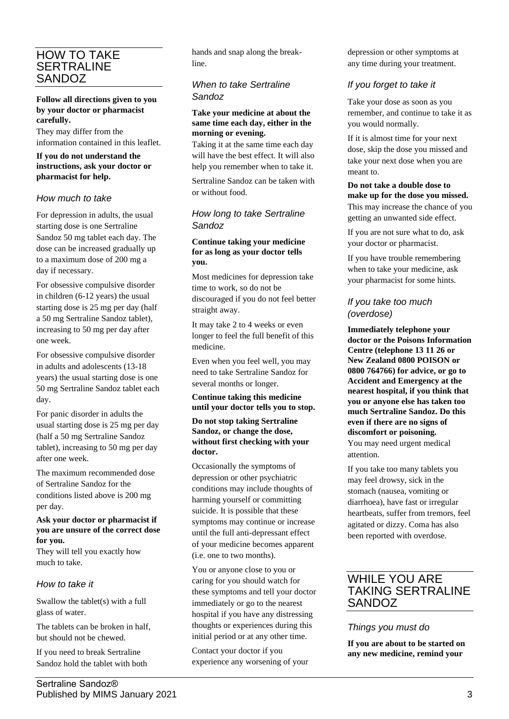# HOW TO TAKE **SERTRALINE** SANDOZ

## **Follow all directions given to you by your doctor or pharmacist carefully.**

They may differ from the information contained in this leaflet.

## **If you do not understand the instructions, ask your doctor or pharmacist for help.**

## *How much to take*

For depression in adults, the usual starting dose is one Sertraline Sandoz 50 mg tablet each day. The dose can be increased gradually up to a maximum dose of 200 mg a day if necessary.

For obsessive compulsive disorder in children (6-12 years) the usual starting dose is 25 mg per day (half a 50 mg Sertraline Sandoz tablet), increasing to 50 mg per day after one week.

For obsessive compulsive disorder in adults and adolescents (13-18 years) the usual starting dose is one 50 mg Sertraline Sandoz tablet each day.

For panic disorder in adults the usual starting dose is 25 mg per day (half a 50 mg Sertraline Sandoz tablet), increasing to 50 mg per day after one week.

The maximum recommended dose of Sertraline Sandoz for the conditions listed above is 200 mg per day.

### **Ask your doctor or pharmacist if you are unsure of the correct dose for you.**

They will tell you exactly how much to take.

# *How to take it*

Swallow the tablet(s) with a full glass of water.

The tablets can be broken in half, but should not be chewed.

If you need to break Sertraline Sandoz hold the tablet with both hands and snap along the breakline.

# *When to take Sertraline Sandoz*

#### **Take your medicine at about the same time each day, either in the morning or evening.**

Taking it at the same time each day will have the best effect. It will also help you remember when to take it.

Sertraline Sandoz can be taken with or without food.

## *How long to take Sertraline Sandoz*

## **Continue taking your medicine for as long as your doctor tells you.**

Most medicines for depression take time to work, so do not be discouraged if you do not feel better straight away.

It may take 2 to 4 weeks or even longer to feel the full benefit of this medicine.

Even when you feel well, you may need to take Sertraline Sandoz for several months or longer.

**Continue taking this medicine until your doctor tells you to stop.**

## **Do not stop taking Sertraline Sandoz, or change the dose, without first checking with your doctor.**

Occasionally the symptoms of depression or other psychiatric conditions may include thoughts of harming yourself or committing suicide. It is possible that these symptoms may continue or increase until the full anti-depressant effect of your medicine becomes apparent (i.e. one to two months).

You or anyone close to you or caring for you should watch for these symptoms and tell your doctor immediately or go to the nearest hospital if you have any distressing thoughts or experiences during this initial period or at any other time.

Contact your doctor if you experience any worsening of your depression or other symptoms at any time during your treatment.

# *If you forget to take it*

Take your dose as soon as you remember, and continue to take it as you would normally.

If it is almost time for your next dose, skip the dose you missed and take your next dose when you are meant to.

**Do not take a double dose to make up for the dose you missed.** This may increase the chance of you getting an unwanted side effect.

If you are not sure what to do, ask your doctor or pharmacist.

If you have trouble remembering when to take your medicine, ask your pharmacist for some hints.

# *If you take too much (overdose)*

**Immediately telephone your doctor or the Poisons Information Centre (telephone 13 11 26 or New Zealand 0800 POISON or 0800 764766) for advice, or go to Accident and Emergency at the nearest hospital, if you think that you or anyone else has taken too much Sertraline Sandoz. Do this even if there are no signs of discomfort or poisoning.** You may need urgent medical attention.

If you take too many tablets you may feel drowsy, sick in the stomach (nausea, vomiting or diarrhoea), have fast or irregular heartbeats, suffer from tremors, feel agitated or dizzy. Coma has also been reported with overdose.

# WHILE YOU ARE TAKING SERTRALINE SANDOZ

# *Things you must do*

**If you are about to be started on any new medicine, remind your**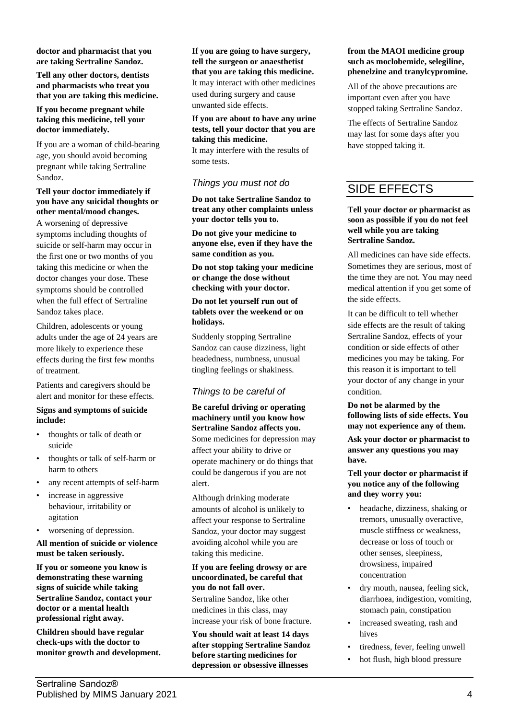**doctor and pharmacist that you are taking Sertraline Sandoz.**

**Tell any other doctors, dentists and pharmacists who treat you that you are taking this medicine.**

#### **If you become pregnant while taking this medicine, tell your doctor immediately.**

If you are a woman of child-bearing age, you should avoid becoming pregnant while taking Sertraline Sandoz.

## **Tell your doctor immediately if you have any suicidal thoughts or other mental/mood changes.**

A worsening of depressive symptoms including thoughts of suicide or self-harm may occur in the first one or two months of you taking this medicine or when the doctor changes your dose. These symptoms should be controlled when the full effect of Sertraline Sandoz takes place.

Children, adolescents or young adults under the age of 24 years are more likely to experience these effects during the first few months of treatment.

Patients and caregivers should be alert and monitor for these effects.

## **Signs and symptoms of suicide include:**

- thoughts or talk of death or suicide
- thoughts or talk of self-harm or harm to others
- any recent attempts of self-harm
- increase in aggressive behaviour, irritability or agitation
- worsening of depression.

**All mention of suicide or violence must be taken seriously.**

**If you or someone you know is demonstrating these warning signs of suicide while taking Sertraline Sandoz, contact your doctor or a mental health professional right away.**

**Children should have regular check-ups with the doctor to monitor growth and development.** **If you are going to have surgery, tell the surgeon or anaesthetist that you are taking this medicine.** It may interact with other medicines used during surgery and cause unwanted side effects.

**If you are about to have any urine tests, tell your doctor that you are taking this medicine.** It may interfere with the results of some tests.

# *Things you must not do*

**Do not take Sertraline Sandoz to treat any other complaints unless your doctor tells you to.**

**Do not give your medicine to anyone else, even if they have the same condition as you.**

**Do not stop taking your medicine or change the dose without checking with your doctor.**

## **Do not let yourself run out of tablets over the weekend or on holidays.**

Suddenly stopping Sertraline Sandoz can cause dizziness, light headedness, numbness, unusual tingling feelings or shakiness.

# *Things to be careful of*

**Be careful driving or operating machinery until you know how Sertraline Sandoz affects you.** Some medicines for depression may affect your ability to drive or operate machinery or do things that could be dangerous if you are not alert.

Although drinking moderate amounts of alcohol is unlikely to affect your response to Sertraline Sandoz, your doctor may suggest avoiding alcohol while you are taking this medicine.

## **If you are feeling drowsy or are uncoordinated, be careful that you do not fall over.**

Sertraline Sandoz, like other medicines in this class, may increase your risk of bone fracture.

**You should wait at least 14 days after stopping Sertraline Sandoz before starting medicines for depression or obsessive illnesses** 

#### **from the MAOI medicine group such as moclobemide, selegiline, phenelzine and tranylcypromine.**

All of the above precautions are important even after you have stopped taking Sertraline Sandoz.

The effects of Sertraline Sandoz may last for some days after you have stopped taking it.

# SIDE EFFECTS

### **Tell your doctor or pharmacist as soon as possible if you do not feel well while you are taking Sertraline Sandoz.**

All medicines can have side effects. Sometimes they are serious, most of the time they are not. You may need medical attention if you get some of the side effects.

It can be difficult to tell whether side effects are the result of taking Sertraline Sandoz, effects of your condition or side effects of other medicines you may be taking. For this reason it is important to tell your doctor of any change in your condition.

**Do not be alarmed by the following lists of side effects. You may not experience any of them.**

**Ask your doctor or pharmacist to answer any questions you may have.**

### **Tell your doctor or pharmacist if you notice any of the following and they worry you:**

- headache, dizziness, shaking or tremors, unusually overactive, muscle stiffness or weakness, decrease or loss of touch or other senses, sleepiness, drowsiness, impaired concentration
- dry mouth, nausea, feeling sick, diarrhoea, indigestion, vomiting, stomach pain, constipation
- increased sweating, rash and hives
- tiredness, fever, feeling unwell
- hot flush, high blood pressure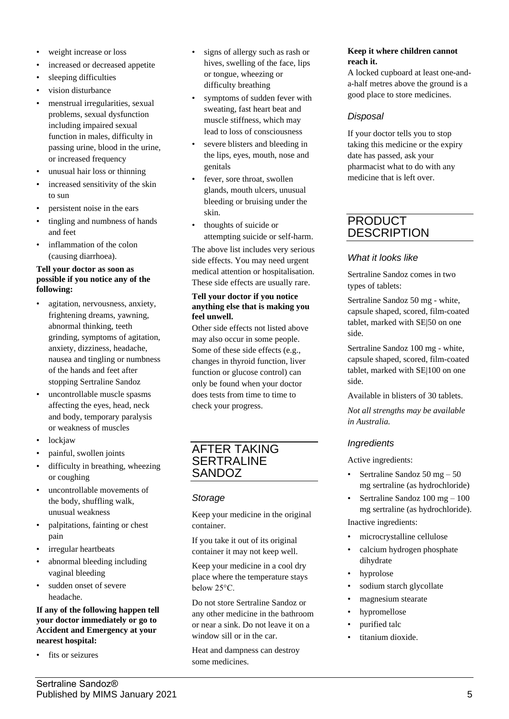- weight increase or loss
- increased or decreased appetite
- sleeping difficulties
- vision disturbance
- menstrual irregularities, sexual problems, sexual dysfunction including impaired sexual function in males, difficulty in passing urine, blood in the urine, or increased frequency
- unusual hair loss or thinning
- increased sensitivity of the skin to sun
- persistent noise in the ears
- tingling and numbness of hands and feet
- inflammation of the colon (causing diarrhoea).

## **Tell your doctor as soon as possible if you notice any of the following:**

- agitation, nervousness, anxiety, frightening dreams, yawning, abnormal thinking, teeth grinding, symptoms of agitation, anxiety, dizziness, headache, nausea and tingling or numbness of the hands and feet after stopping Sertraline Sandoz
- uncontrollable muscle spasms affecting the eyes, head, neck and body, temporary paralysis or weakness of muscles
- lockjaw
- painful, swollen joints
- difficulty in breathing, wheezing or coughing
- uncontrollable movements of the body, shuffling walk, unusual weakness
- palpitations, fainting or chest pain
- irregular heartbeats
- abnormal bleeding including vaginal bleeding
- sudden onset of severe headache.

#### **If any of the following happen tell your doctor immediately or go to Accident and Emergency at your nearest hospital:**

fits or seizures

- signs of allergy such as rash or hives, swelling of the face, lips or tongue, wheezing or difficulty breathing
- symptoms of sudden fever with sweating, fast heart beat and muscle stiffness, which may lead to loss of consciousness
- severe blisters and bleeding in the lips, eyes, mouth, nose and genitals
- fever, sore throat, swollen glands, mouth ulcers, unusual bleeding or bruising under the skin.
- thoughts of suicide or attempting suicide or self-harm.

The above list includes very serious side effects. You may need urgent medical attention or hospitalisation. These side effects are usually rare.

## **Tell your doctor if you notice anything else that is making you feel unwell.**

Other side effects not listed above may also occur in some people. Some of these side effects (e.g., changes in thyroid function, liver function or glucose control) can only be found when your doctor does tests from time to time to check your progress.

# AFTER TAKING **SERTRALINE** SANDOZ

# *Storage*

Keep your medicine in the original container.

If you take it out of its original container it may not keep well.

Keep your medicine in a cool dry place where the temperature stays below 25°C.

Do not store Sertraline Sandoz or any other medicine in the bathroom or near a sink. Do not leave it on a window sill or in the car.

Heat and dampness can destroy some medicines.

## **Keep it where children cannot reach it.**

A locked cupboard at least one-anda-half metres above the ground is a good place to store medicines.

# *Disposal*

If your doctor tells you to stop taking this medicine or the expiry date has passed, ask your pharmacist what to do with any medicine that is left over.

# PRODUCT **DESCRIPTION**

# *What it looks like*

Sertraline Sandoz comes in two types of tablets:

Sertraline Sandoz 50 mg - white, capsule shaped, scored, film-coated tablet, marked with SE|50 on one side.

Sertraline Sandoz 100 mg - white, capsule shaped, scored, film-coated tablet, marked with SE|100 on one side.

Available in blisters of 30 tablets.

*Not all strengths may be available in Australia.*

# *Ingredients*

Active ingredients:

- Sertraline Sandoz 50 mg 50 mg sertraline (as hydrochloride)
- Sertraline Sandoz 100 mg 100 mg sertraline (as hydrochloride). Inactive ingredients:
- microcrystalline cellulose
- calcium hydrogen phosphate dihydrate
- hyprolose
- sodium starch glycollate
- magnesium stearate
- hypromellose
- purified talc
- titanium dioxide.